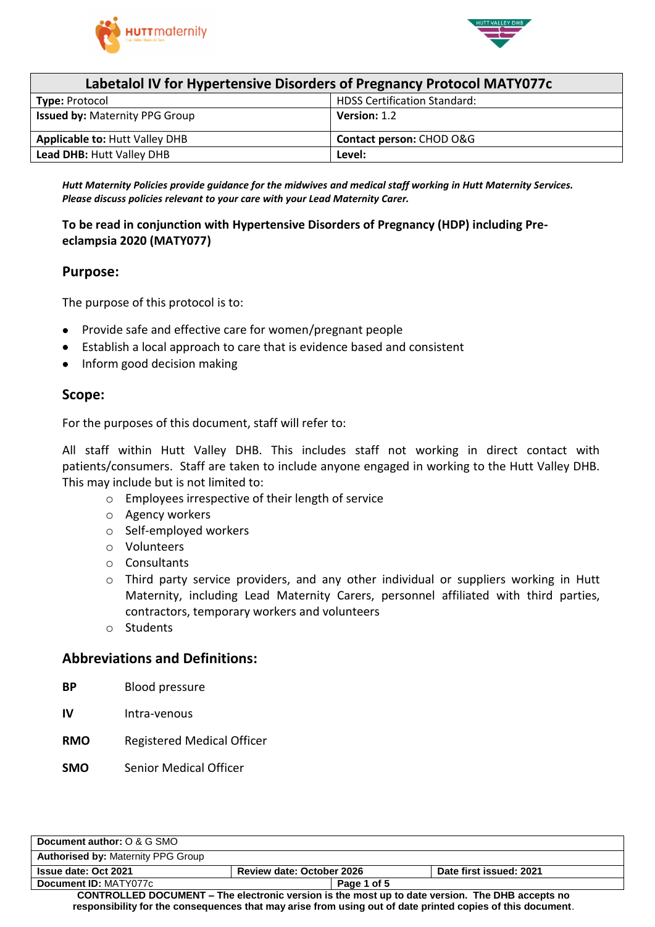



| Labetalol IV for Hypertensive Disorders of Pregnancy Protocol MATY077c |                                     |  |
|------------------------------------------------------------------------|-------------------------------------|--|
| <b>Type: Protocol</b>                                                  | <b>HDSS Certification Standard:</b> |  |
| <b>Issued by: Maternity PPG Group</b>                                  | Version: 1.2                        |  |
| <b>Applicable to: Hutt Valley DHB</b>                                  | Contact person: CHOD O&G            |  |
| Lead DHB: Hutt Valley DHB                                              | Level:                              |  |

*Hutt Maternity Policies provide guidance for the midwives and medical staff working in Hutt Maternity Services. Please discuss policies relevant to your care with your Lead Maternity Carer.*

# **To be read in conjunction with Hypertensive Disorders of Pregnancy (HDP) including Preeclampsia 2020 (MATY077)**

### **Purpose:**

The purpose of this protocol is to:

- Provide safe and effective care for women/pregnant people
- Establish a local approach to care that is evidence based and consistent
- Inform good decision making

### **Scope:**

For the purposes of this document, staff will refer to:

All staff within Hutt Valley DHB. This includes staff not working in direct contact with patients/consumers. Staff are taken to include anyone engaged in working to the Hutt Valley DHB. This may include but is not limited to:

- o Employees irrespective of their length of service
- o Agency workers
- o Self-employed workers
- o Volunteers
- o Consultants
- o Third party service providers, and any other individual or suppliers working in Hutt Maternity, including Lead Maternity Carers, personnel affiliated with third parties, contractors, temporary workers and volunteers
- o Students

### **Abbreviations and Definitions:**

- **BP** Blood pressure
- **IV** Intra-venous
- **RMO** Registered Medical Officer
- **SMO** Senior Medical Officer

| Document author: O & G SMO                                                                                 |                                  |                         |
|------------------------------------------------------------------------------------------------------------|----------------------------------|-------------------------|
| <b>Authorised by: Maternity PPG Group</b>                                                                  |                                  |                         |
| <b>Issue date: Oct 2021</b>                                                                                | <b>Review date: October 2026</b> | Date first issued: 2021 |
| Document ID: MATY077c                                                                                      | Page 1 of 5                      |                         |
| <b>CONTROLLED DOCUMENT – The electronic version is the most up to date version. The DHB accepts no</b>     |                                  |                         |
| responsibility for the consequences that may arise from using out of date printed copies of this document. |                                  |                         |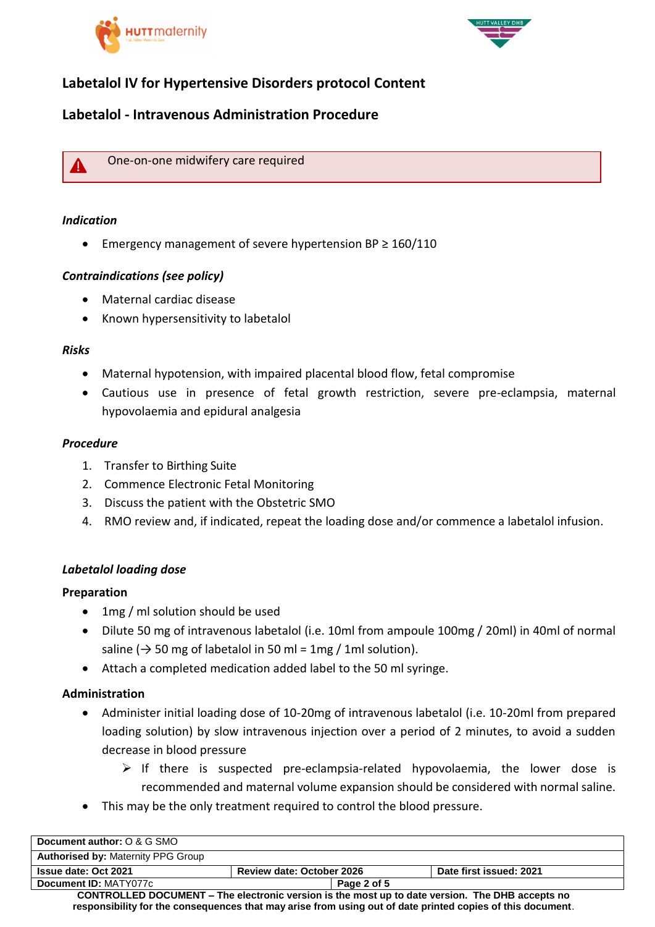



# **Labetalol IV for Hypertensive Disorders protocol Content**

# **Labetalol - Intravenous Administration Procedure**



One-on-one midwifery care required

## *Indication*

Emergency management of severe hypertension BP ≥ 160/110

### *Contraindications (see policy)*

- Maternal cardiac disease
- Known hypersensitivity to labetalol

### *Risks*

- Maternal hypotension, with impaired placental blood flow, fetal compromise
- Cautious use in presence of fetal growth restriction, severe pre-eclampsia, maternal hypovolaemia and epidural analgesia

### *Procedure*

- 1. Transfer to Birthing Suite
- 2. Commence Electronic Fetal Monitoring
- 3. Discuss the patient with the Obstetric SMO
- 4. RMO review and, if indicated, repeat the loading dose and/or commence a labetalol infusion.

### *Labetalol loading dose*

### **Preparation**

- 1mg / ml solution should be used
- Dilute 50 mg of intravenous labetalol (i.e. 10ml from ampoule 100mg / 20ml) in 40ml of normal saline ( $\rightarrow$  50 mg of labetalol in 50 ml = 1mg / 1ml solution).
- Attach a completed medication added label to the 50 ml syringe.

### **Administration**

- Administer initial loading dose of 10-20mg of intravenous labetalol (i.e. 10-20ml from prepared loading solution) by slow intravenous injection over a period of 2 minutes, to avoid a sudden decrease in blood pressure
	- $\triangleright$  If there is suspected pre-eclampsia-related hypovolaemia, the lower dose is recommended and maternal volume expansion should be considered with normal saline.
- This may be the only treatment required to control the blood pressure.

| Document author: O & G SMO                                                                      |                                  |             |                         |
|-------------------------------------------------------------------------------------------------|----------------------------------|-------------|-------------------------|
| <b>Authorised by: Maternity PPG Group</b>                                                       |                                  |             |                         |
| <b>Issue date: Oct 2021</b>                                                                     | <b>Review date: October 2026</b> |             | Date first issued: 2021 |
| Document ID: MATY077c                                                                           |                                  | Page 2 of 5 |                         |
| CONTROLLED DOCUMENT – The electronic version is the most up to date version. The DHB accepts no |                                  |             |                         |

**CONTROLLED DOCUMENT – The electronic version is the most up to date version. The DHB accepts no responsibility for the consequences that may arise from using out of date printed copies of this document**.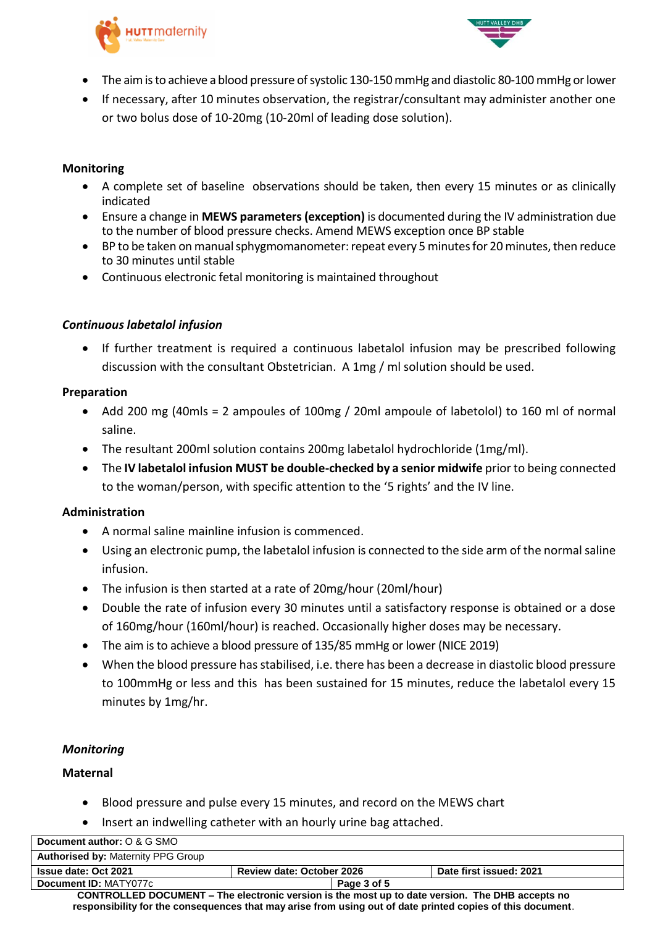



- The aim is to achieve a blood pressure of systolic 130-150 mmHg and diastolic 80-100 mmHg or lower
- If necessary, after 10 minutes observation, the registrar/consultant may administer another one or two bolus dose of 10-20mg (10-20ml of leading dose solution).

# **Monitoring**

- A complete set of baseline observations should be taken, then every 15 minutes or as clinically indicated
- Ensure a change in **MEWS parameters (exception)** is documented during the IV administration due to the number of blood pressure checks. Amend MEWS exception once BP stable
- BP to be taken on manual sphygmomanometer: repeat every 5 minutes for 20 minutes, then reduce to 30 minutes until stable
- Continuous electronic fetal monitoring is maintained throughout

### *Continuous labetalol infusion*

 If further treatment is required a continuous labetalol infusion may be prescribed following discussion with the consultant Obstetrician. A 1mg / ml solution should be used.

### **Preparation**

- Add 200 mg (40mls = 2 ampoules of 100mg / 20ml ampoule of labetolol) to 160 ml of normal saline.
- The resultant 200ml solution contains 200mg labetalol hydrochloride (1mg/ml).
- The **IV labetalol infusion MUST be double-checked by a senior midwife** prior to being connected to the woman/person, with specific attention to the '5 rights' and the IV line.

### **Administration**

- A normal saline mainline infusion is commenced.
- Using an electronic pump, the labetalol infusion is connected to the side arm of the normal saline infusion.
- The infusion is then started at a rate of 20mg/hour (20ml/hour)
- Double the rate of infusion every 30 minutes until a satisfactory response is obtained or a dose of 160mg/hour (160ml/hour) is reached. Occasionally higher doses may be necessary.
- The aim is to achieve a blood pressure of 135/85 mmHg or lower (NICE 2019)
- When the blood pressure has stabilised, i.e. there has been a decrease in diastolic blood pressure to 100mmHg or less and this has been sustained for 15 minutes, reduce the labetalol every 15 minutes by 1mg/hr.

### *Monitoring*

### **Maternal**

- Blood pressure and pulse every 15 minutes, and record on the MEWS chart
- Insert an indwelling catheter with an hourly urine bag attached.

| Document author: O & G SMO                                                                             |                                  |  |                         |
|--------------------------------------------------------------------------------------------------------|----------------------------------|--|-------------------------|
| <b>Authorised by: Maternity PPG Group</b>                                                              |                                  |  |                         |
| <b>Issue date: Oct 2021</b>                                                                            | <b>Review date: October 2026</b> |  | Date first issued: 2021 |
| Document ID: MATY077c                                                                                  | Page 3 of 5                      |  |                         |
| <b>CONTROLLED DOCUMENT – The electronic version is the most up to date version. The DHB accepts no</b> |                                  |  |                         |

**responsibility for the consequences that may arise from using out of date printed copies of this document**.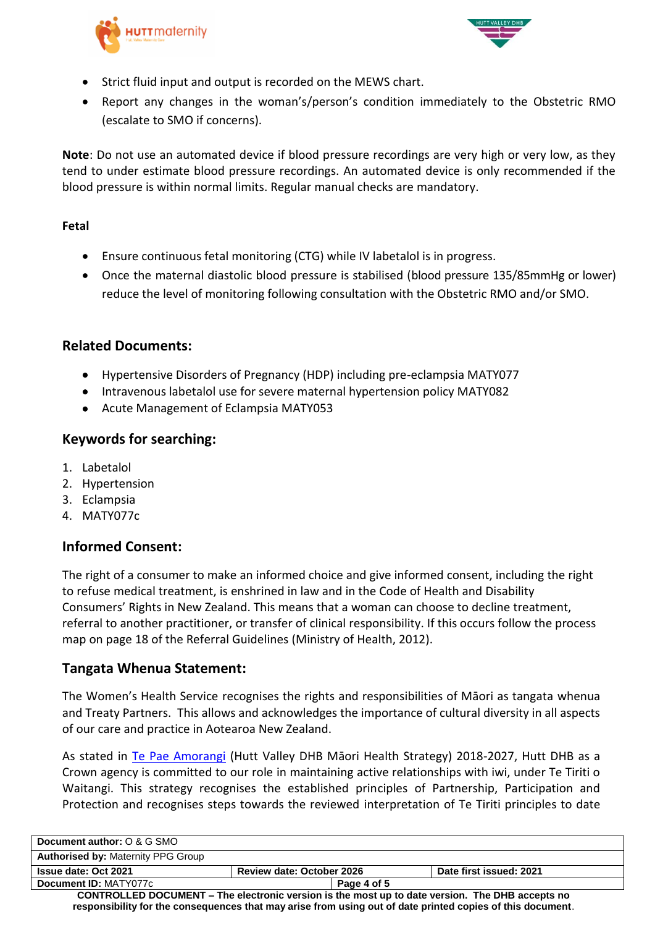



- Strict fluid input and output is recorded on the MEWS chart.
- Report any changes in the woman's/person's condition immediately to the Obstetric RMO (escalate to SMO if concerns).

**Note**: Do not use an automated device if blood pressure recordings are very high or very low, as they tend to under estimate blood pressure recordings. An automated device is only recommended if the blood pressure is within normal limits. Regular manual checks are mandatory.

## **Fetal**

- Ensure continuous fetal monitoring (CTG) while IV labetalol is in progress.
- Once the maternal diastolic blood pressure is stabilised (blood pressure 135/85mmHg or lower) reduce the level of monitoring following consultation with the Obstetric RMO and/or SMO.

# **Related Documents:**

- Hypertensive Disorders of Pregnancy (HDP) including pre-eclampsia MATY077
- Intravenous labetalol use for severe maternal hypertension policy MATY082
- Acute Management of Eclampsia MATY053

# **Keywords for searching:**

- 1. Labetalol
- 2. Hypertension
- 3. Eclampsia
- 4. MATY077c

# **Informed Consent:**

The right of a consumer to make an informed choice and give informed consent, including the right to refuse medical treatment, is enshrined in law and in the Code of Health and Disability Consumers' Rights in New Zealand. This means that a woman can choose to decline treatment, referral to another practitioner, or transfer of clinical responsibility. If this occurs follow the process map on page 18 of the Referral Guidelines (Ministry of Health, 2012).

# **Tangata Whenua Statement:**

The Women's Health Service recognises the rights and responsibilities of Māori as tangata whenua and Treaty Partners. This allows and acknowledges the importance of cultural diversity in all aspects of our care and practice in Aotearoa New Zealand.

As stated in [Te Pae Amorangi](http://www.huttvalleydhb.org.nz/about-us/reports-and-publications/te-pae-amorangi/) (Hutt Valley DHB Māori Health Strategy) 2018-2027, Hutt DHB as a Crown agency is committed to our role in maintaining active relationships with iwi, under Te Tiriti o Waitangi. This strategy recognises the established principles of Partnership, Participation and Protection and recognises steps towards the reviewed interpretation of Te Tiriti principles to date

| Document author: O & G SMO                                                                                                                                                                                           |                                  |             |                         |
|----------------------------------------------------------------------------------------------------------------------------------------------------------------------------------------------------------------------|----------------------------------|-------------|-------------------------|
| <b>Authorised by: Maternity PPG Group</b>                                                                                                                                                                            |                                  |             |                         |
| <b>Issue date: Oct 2021</b>                                                                                                                                                                                          | <b>Review date: October 2026</b> |             | Date first issued: 2021 |
| Document ID: MATY077c                                                                                                                                                                                                |                                  | Page 4 of 5 |                         |
| <b>CONTROLLED DOCUMENT – The electronic version is the most up to date version. The DHB accepts no</b><br>responsibility for the consequences that may arise from using out of date printed copies of this document. |                                  |             |                         |